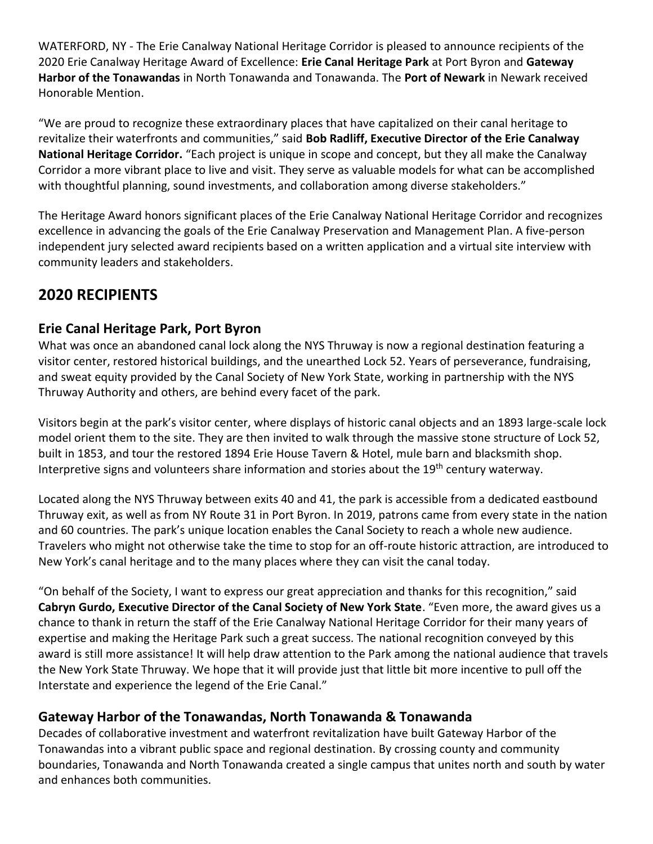WATERFORD, NY - The Erie Canalway National Heritage Corridor is pleased to announce recipients of the 2020 Erie Canalway Heritage Award of Excellence: **Erie Canal Heritage Park** at Port Byron and **Gateway Harbor of the Tonawandas** in North Tonawanda and Tonawanda. The **Port of Newark** in Newark received Honorable Mention.

"We are proud to recognize these extraordinary places that have capitalized on their canal heritage to revitalize their waterfronts and communities," said **Bob Radliff, Executive Director of the Erie Canalway National Heritage Corridor.** "Each project is unique in scope and concept, but they all make the Canalway Corridor a more vibrant place to live and visit. They serve as valuable models for what can be accomplished with thoughtful planning, sound investments, and collaboration among diverse stakeholders."

The Heritage Award honors significant places of the Erie Canalway National Heritage Corridor and recognizes excellence in advancing the goals of the Erie Canalway Preservation and Management Plan. A five-person independent jury selected award recipients based on a written application and a virtual site interview with community leaders and stakeholders.

# **2020 RECIPIENTS**

# **Erie Canal Heritage Park, Port Byron**

What was once an abandoned canal lock along the NYS Thruway is now a regional destination featuring a visitor center, restored historical buildings, and the unearthed Lock 52. Years of perseverance, fundraising, and sweat equity provided by the Canal Society of New York State, working in partnership with the NYS Thruway Authority and others, are behind every facet of the park.

Visitors begin at the park's visitor center, where displays of historic canal objects and an 1893 large-scale lock model orient them to the site. They are then invited to walk through the massive stone structure of Lock 52, built in 1853, and tour the restored 1894 Erie House Tavern & Hotel, mule barn and blacksmith shop. Interpretive signs and volunteers share information and stories about the 19<sup>th</sup> century waterway.

Located along the NYS Thruway between exits 40 and 41, the park is accessible from a dedicated eastbound Thruway exit, as well as from NY Route 31 in Port Byron. In 2019, patrons came from every state in the nation and 60 countries. The park's unique location enables the Canal Society to reach a whole new audience. Travelers who might not otherwise take the time to stop for an off-route historic attraction, are introduced to New York's canal heritage and to the many places where they can visit the canal today.

"On behalf of the Society, I want to express our great appreciation and thanks for this recognition," said **Cabryn Gurdo, Executive Director of the Canal Society of New York State**. "Even more, the award gives us a chance to thank in return the staff of the Erie Canalway National Heritage Corridor for their many years of expertise and making the Heritage Park such a great success. The national recognition conveyed by this award is still more assistance! It will help draw attention to the Park among the national audience that travels the New York State Thruway. We hope that it will provide just that little bit more incentive to pull off the Interstate and experience the legend of the Erie Canal."

## **Gateway Harbor of the Tonawandas, North Tonawanda & Tonawanda**

Decades of collaborative investment and waterfront revitalization have built Gateway Harbor of the Tonawandas into a vibrant public space and regional destination. By crossing county and community boundaries, Tonawanda and North Tonawanda created a single campus that unites north and south by water and enhances both communities.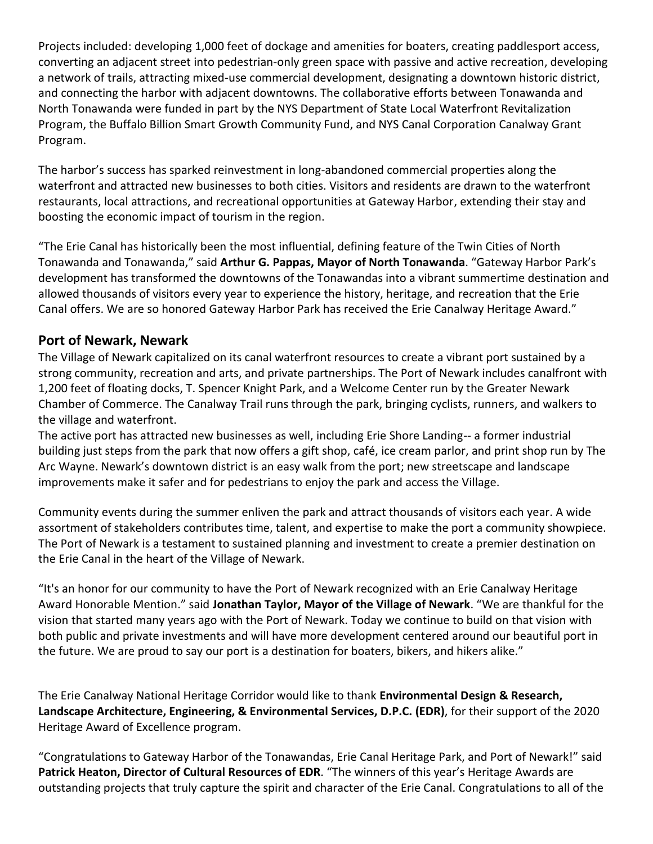Projects included: developing 1,000 feet of dockage and amenities for boaters, creating paddlesport access, converting an adjacent street into pedestrian-only green space with passive and active recreation, developing a network of trails, attracting mixed-use commercial development, designating a downtown historic district, and connecting the harbor with adjacent downtowns. The collaborative efforts between Tonawanda and North Tonawanda were funded in part by the NYS Department of State Local Waterfront Revitalization Program, the Buffalo Billion Smart Growth Community Fund, and NYS Canal Corporation Canalway Grant Program.

The harbor's success has sparked reinvestment in long-abandoned commercial properties along the waterfront and attracted new businesses to both cities. Visitors and residents are drawn to the waterfront restaurants, local attractions, and recreational opportunities at Gateway Harbor, extending their stay and boosting the economic impact of tourism in the region.

"The Erie Canal has historically been the most influential, defining feature of the Twin Cities of North Tonawanda and Tonawanda," said **Arthur G. Pappas, Mayor of North Tonawanda**. "Gateway Harbor Park's development has transformed the downtowns of the Tonawandas into a vibrant summertime destination and allowed thousands of visitors every year to experience the history, heritage, and recreation that the Erie Canal offers. We are so honored Gateway Harbor Park has received the Erie Canalway Heritage Award."

### **Port of Newark, Newark**

The Village of Newark capitalized on its canal waterfront resources to create a vibrant port sustained by a strong community, recreation and arts, and private partnerships. The Port of Newark includes canalfront with 1,200 feet of floating docks, T. Spencer Knight Park, and a Welcome Center run by the Greater Newark Chamber of Commerce. The Canalway Trail runs through the park, bringing cyclists, runners, and walkers to the village and waterfront.

The active port has attracted new businesses as well, including Erie Shore Landing-- a former industrial building just steps from the park that now offers a gift shop, café, ice cream parlor, and print shop run by The Arc Wayne. Newark's downtown district is an easy walk from the port; new streetscape and landscape improvements make it safer and for pedestrians to enjoy the park and access the Village.

Community events during the summer enliven the park and attract thousands of visitors each year. A wide assortment of stakeholders contributes time, talent, and expertise to make the port a community showpiece. The Port of Newark is a testament to sustained planning and investment to create a premier destination on the Erie Canal in the heart of the Village of Newark.

"It's an honor for our community to have the Port of Newark recognized with an Erie Canalway Heritage Award Honorable Mention." said **Jonathan Taylor, Mayor of the Village of Newark**. "We are thankful for the vision that started many years ago with the Port of Newark. Today we continue to build on that vision with both public and private investments and will have more development centered around our beautiful port in the future. We are proud to say our port is a destination for boaters, bikers, and hikers alike."

The Erie Canalway National Heritage Corridor would like to thank **Environmental Design & Research, Landscape Architecture, Engineering, & Environmental Services, D.P.C. (EDR)**, for their support of the 2020 Heritage Award of Excellence program.

"Congratulations to Gateway Harbor of the Tonawandas, Erie Canal Heritage Park, and Port of Newark!" said **Patrick Heaton, Director of Cultural Resources of EDR**. "The winners of this year's Heritage Awards are outstanding projects that truly capture the spirit and character of the Erie Canal. Congratulations to all of the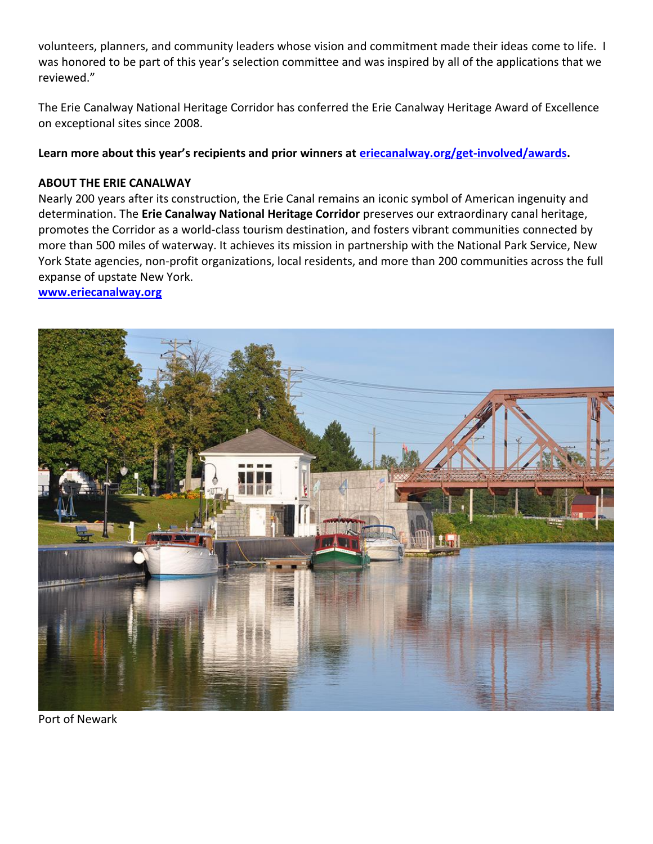volunteers, planners, and community leaders whose vision and commitment made their ideas come to life. I was honored to be part of this year's selection committee and was inspired by all of the applications that we reviewed."

The Erie Canalway National Heritage Corridor has conferred the Erie Canalway Heritage Award of Excellence on exceptional sites since 2008.

**Learn more about this year's recipients and prior winners at [eriecanalway.org/get-involved/awards.](https://eriecanalway.org/get-involved/awards)**

### **ABOUT THE ERIE CANALWAY**

Nearly 200 years after its construction, the Erie Canal remains an iconic symbol of American ingenuity and determination. The **Erie Canalway National Heritage Corridor** preserves our extraordinary canal heritage, promotes the Corridor as a world-class tourism destination, and fosters vibrant communities connected by more than 500 miles of waterway. It achieves its mission in partnership with the National Park Service, New York State agencies, non-profit organizations, local residents, and more than 200 communities across the full expanse of upstate New York.

### **[www.eriecanalway.org](http://www.eriecanalway.org/)**



Port of Newark